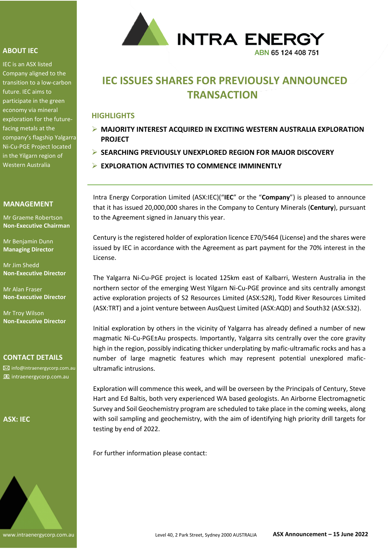## **ABOUT IEC**

IEC is an ASX listed Company aligned to the transition to a low-carbon future. IEC aims to participate in the green economy via mineral exploration for the futurefacing metals at the company's flagship Yalgarra Ni-Cu-PGE Project located in the Yilgarn region of Western Australia

## **MANAGEMENT**

Mr Graeme Robertson **Non-Executive Chairman**

Mr Benjamin Dunn **Managing Director**

Mr Jim Shedd **Non-Executive Director**

Mr Alan Fraser **Non-Executive Director**

Mr Troy Wilson **Non-Executive Director**

#### **CONTACT DETAILS**

info@intraenergycorp.com.au **igm** intraenergycorp.com.au

#### **ASX: IEC**





# **IEC ISSUES SHARES FOR PREVIOUSLY ANNOUNCED TRANSACTION**

# **HIGHLIGHTS**

- ➢ **MAJORITY INTEREST ACQUIRED IN EXCITING WESTERN AUSTRALIA EXPLORATION PROJECT**
- ➢ **SEARCHING PREVIOUSLY UNEXPLORED REGION FOR MAJOR DISCOVERY**
- ➢ **EXPLORATION ACTIVITIES TO COMMENCE IMMINENTLY**

Intra Energy Corporation Limited (ASX:IEC)("**IEC**" or the "**Company**") is pleased to announce that it has issued 20,000,000 shares in the Company to Century Minerals (**Century**), pursuant to the Agreement signed in January this year.

Century is the registered holder of exploration licence E70/5464 (License) and the shares were issued by IEC in accordance with the Agreement as part payment for the 70% interest in the License.

The Yalgarra Ni-Cu-PGE project is located 125km east of Kalbarri, Western Australia in the northern sector of the emerging West Yilgarn Ni-Cu-PGE province and sits centrally amongst active exploration projects of S2 Resources Limited (ASX:S2R), Todd River Resources Limited (ASX:TRT) and a joint venture between AusQuest Limited (ASX:AQD) and South32 (ASX:S32).

Initial exploration by others in the vicinity of Yalgarra has already defined a number of new magmatic Ni-Cu-PGE±Au prospects. Importantly, Yalgarra sits centrally over the core gravity high in the region, possibly indicating thicker underplating by mafic-ultramafic rocks and has a number of large magnetic features which may represent potential unexplored maficultramafic intrusions.

Exploration will commence this week, and will be overseen by the Principals of Century, Steve Hart and Ed Baltis, both very experienced WA based geologists. An Airborne Electromagnetic Survey and Soil Geochemistry program are scheduled to take place in the coming weeks, along with soil sampling and geochemistry, with the aim of identifying high priority drill targets for testing by end of 2022.

For further information please contact: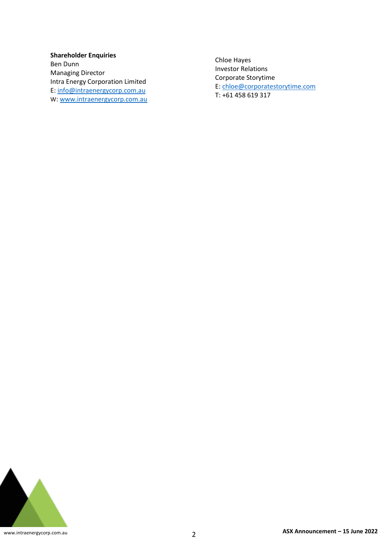**Shareholder Enquiries** Ben Dunn Managing Director Intra Energy Corporation Limited E: [info@intraenergycorp.com.au](mailto:info@intraenergycorp.com.au) W[: www.intraenergycorp.com.au](http://www.intraenergycorp.com.au/)

Chloe Hayes Investor Relations Corporate Storytime E: [chloe@corporatestorytime.com](mailto:chloe@corporatestorytime.com) T: +61 458 619 317

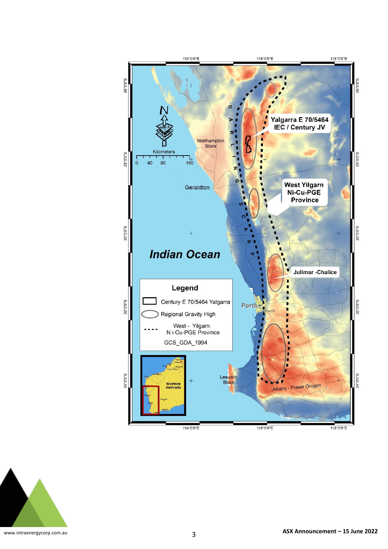